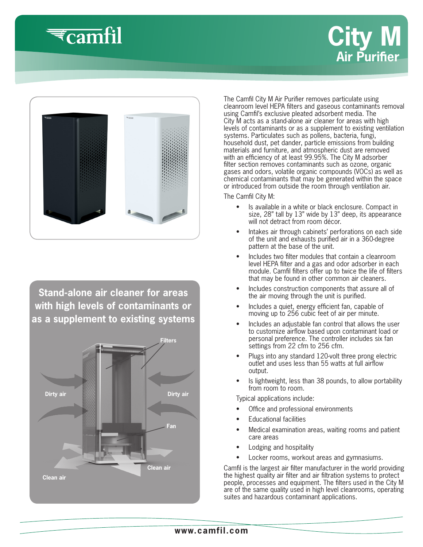

# **City M Air Purifier**



**Stand-alone air cleaner for areas with high levels of contaminants or as a supplement to existing systems**



The Camfil City M Air Purifier removes particulate using cleanroom level HEPA filters and gaseous contaminants removal using Camfil's exclusive pleated adsorbent media. The City M acts as a stand-alone air cleaner for areas with high levels of contaminants or as a supplement to existing ventilation systems. Particulates such as pollens, bacteria, fungi, household dust, pet dander, particle emissions from building materials and furniture, and atmospheric dust are removed with an efficiency of at least 99.95%. The City M adsorber filter section removes contaminants such as ozone, organic gases and odors, volatile organic compounds (VOCs) as well as chemical contaminants that may be generated within the space or introduced from outside the room through ventilation air.

The Camfil City M:

- Is available in a white or black enclosure. Compact in size, 28" tall by 13" wide by 13" deep, its appearance will not detract from room décor.
- Intakes air through cabinets' perforations on each side of the unit and exhausts purified air in a 360-degree pattern at the base of the unit.
- Includes two filter modules that contain a cleanroom level HEPA filter and a gas and odor adsorber in each module. Camfil filters offer up to twice the life of filters that may be found in other common air cleaners.
- Includes construction components that assure all of the air moving through the unit is purified.
- Includes a quiet, energy efficient fan, capable of moving up to 256 cubic feet of air per minute.
- Includes an adjustable fan control that allows the user to customize airflow based upon contaminant load or personal preference. The controller includes six fan settings from 22 cfm to 256 cfm.
- Plugs into any standard 120-volt three prong electric outlet and uses less than 55 watts at full airflow output.
- Is lightweight, less than 38 pounds, to allow portability from room to room.

Typical applications include:

- Office and professional environments
- Educational facilities
- Medical examination areas, waiting rooms and patient care areas
- Lodging and hospitality
- Locker rooms, workout areas and gymnasiums.

Camfil is the largest air filter manufacturer in the world providing the highest quality air filter and air filtration systems to protect people, processes and equipment. The filters used in the City M are of the same quality used in high level cleanrooms, operating suites and hazardous contaminant applications.